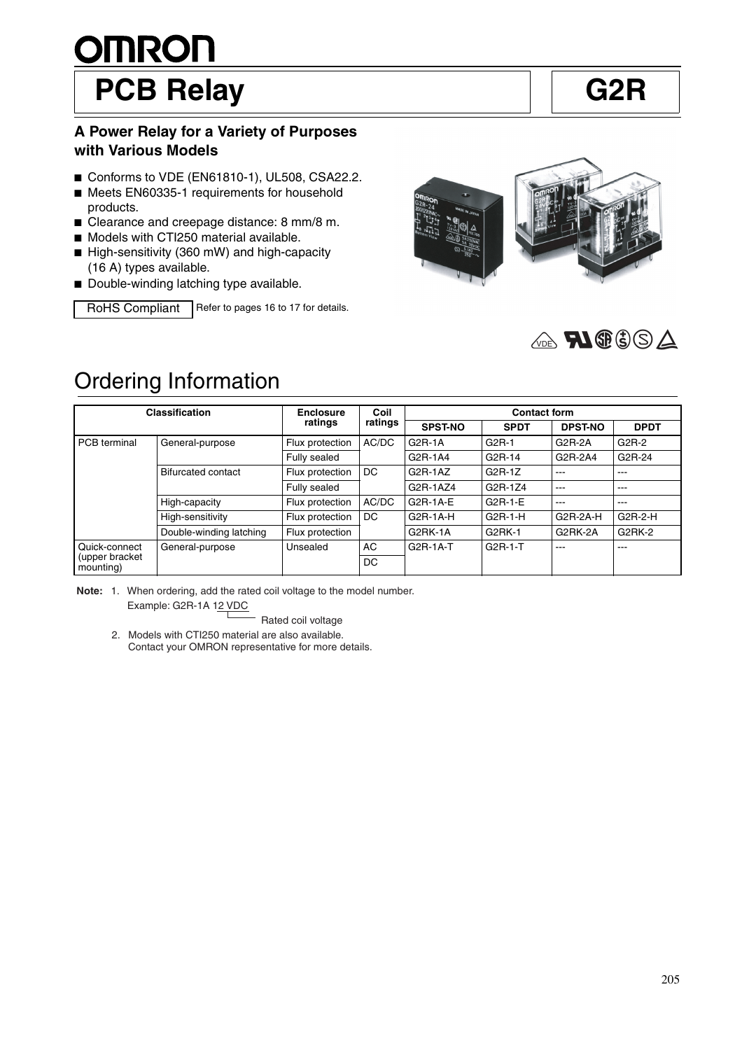# <u>OMRON</u> PCB Relay **G2R**

#### **A Power Relay for a Variety of Purposes with Various Models**

- Conforms to VDE (EN61810-1), UL508, CSA22.2.
- Meets EN60335-1 requirements for household products.
- Clearance and creepage distance: 8 mm/8 m.
- Models with CTI250 material available.
- High-sensitivity (360 mW) and high-capacity (16 A) types available.
- Double-winding latching type available.

RoHS Compliant Refer to pages 16 to 17 for details.





### Ordering Information

| <b>Classification</b>       |                           | <b>Enclosure</b> | Coil    | <b>Contact form</b> |             |                |             |  |
|-----------------------------|---------------------------|------------------|---------|---------------------|-------------|----------------|-------------|--|
|                             |                           | ratings          | ratings | <b>SPST-NO</b>      | <b>SPDT</b> | <b>DPST-NO</b> | <b>DPDT</b> |  |
| <b>PCB</b> terminal         | General-purpose           | Flux protection  | AC/DC   | $G2R-1A$            | $G2R-1$     | $G2R-2A$       | G2R-2       |  |
|                             |                           | Fully sealed     |         | G2R-1A4             | G2R-14      | G2R-2A4        | G2R-24      |  |
|                             | <b>Bifurcated contact</b> | Flux protection  | DC      | $G2R-1AZ$           | $G2R-1Z$    | ---            | $---$       |  |
|                             |                           | Fully sealed     |         | G2R-1AZ4            | G2R-1Z4     | ---            | ---         |  |
|                             | High-capacity             | Flux protection  | AC/DC   | $G2R-1A-E$          | $G2R-1-E$   | ---            | $- - -$     |  |
|                             | High-sensitivity          | Flux protection  | DC      | $G2R-1A-H$          | $G2R-1-H$   | G2R-2A-H       | $G2R-2-H$   |  |
|                             | Double-winding latching   | Flux protection  |         | G2RK-1A             | G2RK-1      | G2RK-2A        | G2RK-2      |  |
| Quick-connect               | General-purpose           | Unsealed         | AC      | G2R-1A-T            | G2R-1-T     | ---            | ---         |  |
| (upper bracket<br>mounting) |                           |                  | DC      |                     |             |                |             |  |

**Note:** 1. When ordering, add the rated coil voltage to the model number. Example: G2R-1A 12 VDC

Rated coil voltage

 2. Models with CTI250 material are also available. Contact your OMRON representative for more details.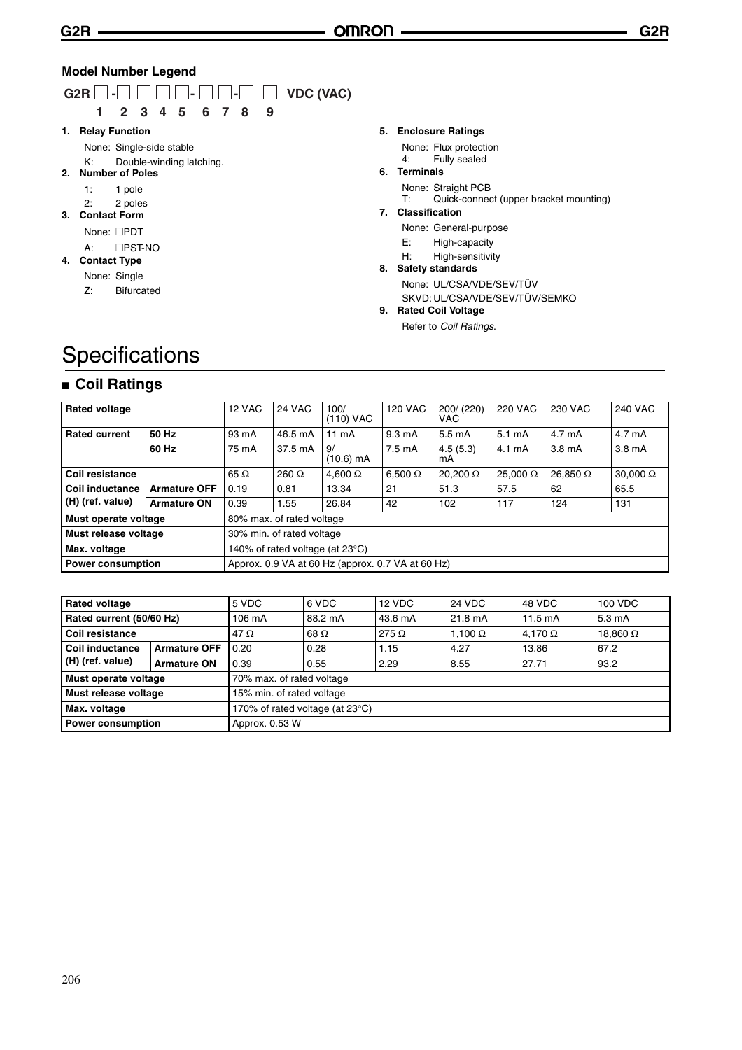#### **Model Number Legend**



#### **5. Enclosure Ratings**

None: Flux protection

#### 4: Fully sealed

**6. Terminals**

None: Straight PCB<br>T: Quick-connec

- Quick-connect (upper bracket mounting) **7. Classification**
	- - None: General-purpose
		- E: High-capacity H: High-sensitivity
- **8. Safety standards** None: UL/CSA/VDE/SEV/TÜV SKVD: UL/CSA/VDE/SEV/TÜV/SEMKO
- **9. Rated Coil Voltage**

Refer to *Coil Ratings*.

### **Specifications**

#### ■ Coil Ratings

| <b>Rated voltage</b>                              |                                 | 12 VAC      | <b>24 VAC</b>                                     | 100/<br>(110) VAC | <b>120 VAC</b>   | 200/ (220)<br>VAC. | <b>220 VAC</b>   | 230 VAC            | <b>240 VAC</b>     |
|---------------------------------------------------|---------------------------------|-------------|---------------------------------------------------|-------------------|------------------|--------------------|------------------|--------------------|--------------------|
| <b>Rated current</b>                              | 50 Hz                           | 93 mA       | 46.5 mA                                           | $11 \text{ mA}$   | $9.3 \text{ mA}$ | 5.5 mA             | $5.1 \text{ mA}$ | 4.7 mA             | 4.7 mA             |
|                                                   | 60 Hz                           | 75 mA       | 37.5 mA                                           | 9/<br>(10.6) mA   | $7.5 \text{ mA}$ | 4.5(5.3)<br>mA.    | 4.1 mA           | 3.8 <sub>m</sub> A | 3.8 <sub>m</sub> A |
| <b>Coil resistance</b>                            |                                 | 65 $\Omega$ | 260 $\Omega$                                      | 4,600 $\Omega$    | $6,500 \Omega$   | 20,200 $\Omega$    | $25.000 \Omega$  | 26.850 $\Omega$    | $30,000 \Omega$    |
| <b>Coil inductance</b>                            | <b>Armature OFF</b>             | 0.19        | 0.81                                              | 13.34             | 21               | 51.3               | 57.5             | 62                 | 65.5               |
| (H) (ref. value)                                  | <b>Armature ON</b>              | 0.39        | 1.55                                              | 26.84             | 42               | 102                | 117              | 124                | 131                |
| Must operate voltage                              |                                 |             | 80% max. of rated voltage                         |                   |                  |                    |                  |                    |                    |
| Must release voltage<br>30% min. of rated voltage |                                 |             |                                                   |                   |                  |                    |                  |                    |                    |
| Max. voltage                                      | 140% of rated voltage (at 23°C) |             |                                                   |                   |                  |                    |                  |                    |                    |
| Power consumption                                 |                                 |             | Approx. 0.9 VA at 60 Hz (approx. 0.7 VA at 60 Hz) |                   |                  |                    |                  |                    |                    |

| <b>Rated voltage</b>                            |                     | 5 VDC                     | 6 VDC       | 12 VDC       | <b>24 VDC</b>  | 48 VDC            | 100 VDC         |  |
|-------------------------------------------------|---------------------|---------------------------|-------------|--------------|----------------|-------------------|-----------------|--|
| Rated current (50/60 Hz)                        |                     | $106 \text{ mA}$          | 88.2 mA     | 43.6 mA      | 21.8 mA        | $11.5 \text{ mA}$ | 5.3 mA          |  |
| <b>Coil resistance</b>                          |                     | 47 $\Omega$               | 68 $\Omega$ | 275 $\Omega$ | 1,100 $\Omega$ | 4.170 $\Omega$    | 18,860 $\Omega$ |  |
| Coil inductance                                 | <b>Armature OFF</b> | 0.20                      | 0.28        | 1.15         | 4.27           | 13.86             | 67.2            |  |
| (H) (ref. value)                                | <b>Armature ON</b>  | 0.39                      | 0.55        | 2.29         | 8.55           | 27.71             | 93.2            |  |
| Must operate voltage                            |                     | 70% max. of rated voltage |             |              |                |                   |                 |  |
| Must release voltage                            |                     | 15% min. of rated voltage |             |              |                |                   |                 |  |
| Max. voltage<br>170% of rated voltage (at 23°C) |                     |                           |             |              |                |                   |                 |  |
| <b>Power consumption</b>                        |                     | Approx. 0.53 W            |             |              |                |                   |                 |  |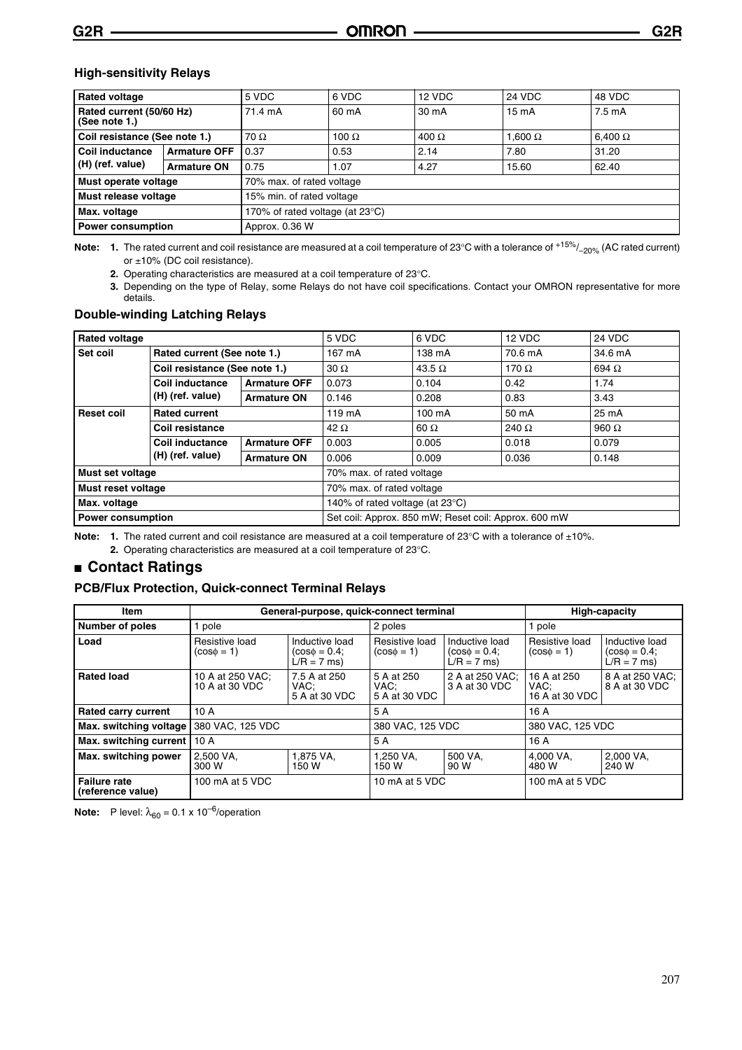#### **High-sensitivity Relays**

| <b>Rated voltage</b>                      |                     | 5 VDC                           | 6 VDC                     | 12 VDC       | 24 VDC          | 48 VDC           |  |  |
|-------------------------------------------|---------------------|---------------------------------|---------------------------|--------------|-----------------|------------------|--|--|
| Rated current (50/60 Hz)<br>(See note 1.) |                     | 71.4 mA                         | 60 mA                     | 30 mA        | $15 \text{ mA}$ | $7.5 \text{ mA}$ |  |  |
| Coil resistance (See note 1.)             |                     | $70 \Omega$                     | 100 $\Omega$              | $400 \Omega$ | 1.600 $\Omega$  | 6,400 $\Omega$   |  |  |
| <b>Coil inductance</b>                    | <b>Armature OFF</b> | 0.37                            | 0.53                      | 2.14         | 7.80            | 31.20            |  |  |
| (H) (ref. value)                          | <b>Armature ON</b>  | 0.75                            | 1.07                      | 4.27         | 15.60           | 62.40            |  |  |
| Must operate voltage                      |                     |                                 | 70% max. of rated voltage |              |                 |                  |  |  |
| Must release voltage                      |                     | 15% min. of rated voltage       |                           |              |                 |                  |  |  |
| Max. voltage                              |                     | 170% of rated voltage (at 23°C) |                           |              |                 |                  |  |  |
| <b>Power consumption</b>                  |                     | Approx. 0.36 W                  |                           |              |                 |                  |  |  |

Note: 1. The rated current and coil resistance are measured at a coil temperature of 23°C with a tolerance of <sup>+15%</sup>/<sub>–20%</sub> (AC rated current) or ±10% (DC coil resistance).

**2.** Operating characteristics are measured at a coil temperature of 23°C.

**3.** Depending on the type of Relay, some Relays do not have coil specifications. Contact your OMRON representative for more details.

#### **Double-winding Latching Relays**

| <b>Rated voltage</b>                      |                               |                     | 5 VDC                           | 6 VDC                                                | 12 VDC       | 24 VDC       |  |  |
|-------------------------------------------|-------------------------------|---------------------|---------------------------------|------------------------------------------------------|--------------|--------------|--|--|
| Set coil                                  | Rated current (See note 1.)   |                     | 167 mA                          | 138 mA                                               | 70.6 mA      | 34.6 mA      |  |  |
|                                           | Coil resistance (See note 1.) |                     | $30 \Omega$                     | 43.5 $\Omega$                                        | 170 $\Omega$ | 694 $\Omega$ |  |  |
|                                           | <b>Coil inductance</b>        | <b>Armature OFF</b> | 0.073                           | 0.104                                                | 0.42         | 1.74         |  |  |
|                                           | (H) (ref. value)              | <b>Armature ON</b>  | 0.146                           | 0.208                                                | 0.83         | 3.43         |  |  |
| <b>Rated current</b><br><b>Reset coil</b> |                               | 119 mA              | 100 mA                          | 50 mA                                                | 25 mA        |              |  |  |
|                                           | Coil resistance               |                     | 42 $\Omega$                     | $60 \Omega$                                          | 240 $\Omega$ | 960 $\Omega$ |  |  |
|                                           | Coil inductance               | <b>Armature OFF</b> | 0.003                           | 0.005                                                | 0.018        | 0.079        |  |  |
|                                           | (H) (ref. value)              | <b>Armature ON</b>  | 0.006                           | 0.009                                                | 0.036        | 0.148        |  |  |
| Must set voltage                          |                               |                     | 70% max. of rated voltage       |                                                      |              |              |  |  |
| Must reset voltage                        |                               |                     | 70% max. of rated voltage       |                                                      |              |              |  |  |
| Max. voltage                              |                               |                     | 140% of rated voltage (at 23°C) |                                                      |              |              |  |  |
|                                           | <b>Power consumption</b>      |                     |                                 | Set coil: Approx. 850 mW; Reset coil: Approx. 600 mW |              |              |  |  |

Note: 1. The rated current and coil resistance are measured at a coil temperature of 23°C with a tolerance of ±10%.

**2.** Operating characteristics are measured at a coil temperature of 23°C.

#### ■ **Contact Ratings**

#### **PCB/Flux Protection, Quick-connect Terminal Relays**

| Item                                     |                                    | General-purpose, quick-connect terminal              |                                     |                                                      |                                       | <b>High-capacity</b>                                 |  |
|------------------------------------------|------------------------------------|------------------------------------------------------|-------------------------------------|------------------------------------------------------|---------------------------------------|------------------------------------------------------|--|
| <b>Number of poles</b>                   | pole                               |                                                      | 2 poles                             |                                                      | 1 pole                                |                                                      |  |
| Load                                     | Resistive load<br>$(cos\phi = 1)$  | Inductive load<br>$(cos\phi = 0.4)$<br>$L/R = 7$ ms) | Resistive load<br>$(cos\phi = 1)$   | Inductive load<br>$(cos\phi = 0.4)$<br>$L/R = 7$ ms) | Resistive load<br>$(cos\phi = 1)$     | Inductive load<br>$(cos\phi = 0.4)$<br>$L/R = 7$ ms) |  |
| <b>Rated load</b>                        | 10 A at 250 VAC;<br>10 A at 30 VDC | 7.5 A at 250<br>VAC:<br>5 A at 30 VDC                | 5 A at 250<br>VAC:<br>5 A at 30 VDC | 2 A at 250 VAC;<br>3 A at 30 VDC                     | 16 A at 250<br>VAC:<br>16 A at 30 VDC | 8 A at 250 VAC:<br>8 A at 30 VDC                     |  |
| <b>Rated carry current</b>               | 10A                                |                                                      | 5 A                                 |                                                      | 16A                                   |                                                      |  |
| Max. switching voltage                   | 380 VAC, 125 VDC                   |                                                      | 380 VAC, 125 VDC                    |                                                      | 380 VAC, 125 VDC                      |                                                      |  |
| Max. switching current   10 A            |                                    |                                                      | 5 A                                 |                                                      | 16A                                   |                                                      |  |
| Max. switching power                     | 2.500 VA.<br>300 W                 | 1.875 VA.<br>150 W                                   | 1.250 VA.<br>150 W                  | 500 VA.<br>90 W                                      | 4.000 VA.<br>480 W                    | 2.000 VA.<br>240 W                                   |  |
| <b>Failure rate</b><br>(reference value) | 100 mA at 5 VDC                    |                                                      | 10 mA at 5 VDC                      |                                                      | 100 mA at 5 VDC                       |                                                      |  |

**Note:** P level:  $\lambda_{60} = 0.1 \times 10^{-6}$ /operation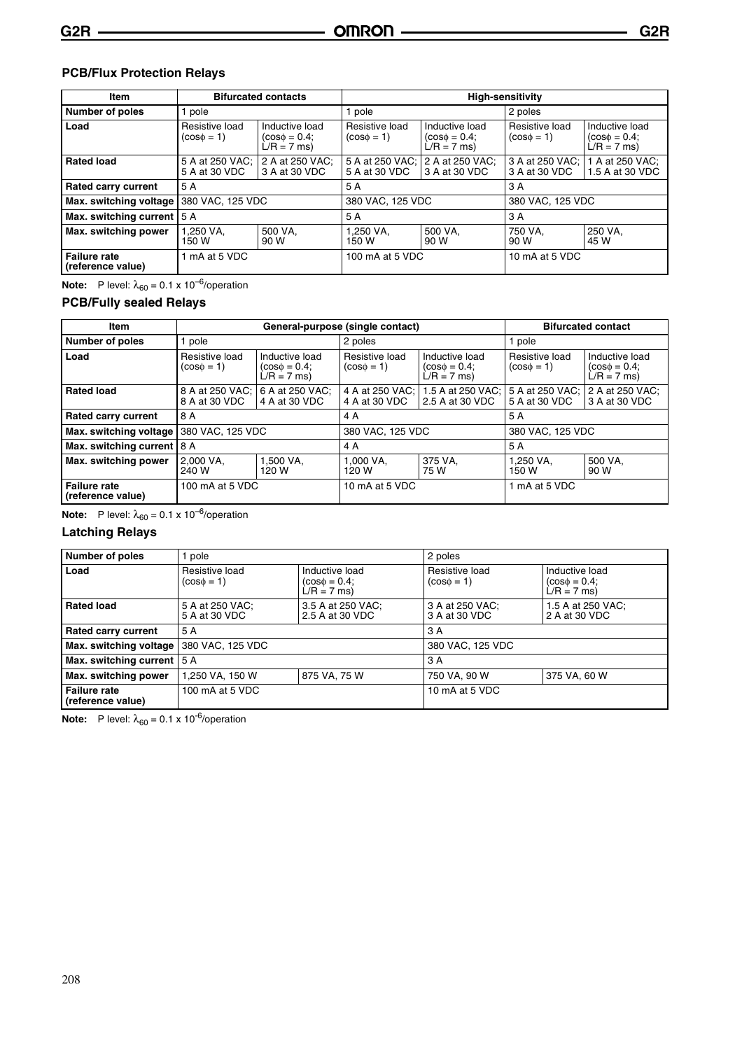#### **PCB/Flux Protection Relays**

| Item                                     |                                   | <b>Bifurcated contacts</b>                           | <b>High-sensitivity</b>           |                                                      |                                   |                                                      |  |
|------------------------------------------|-----------------------------------|------------------------------------------------------|-----------------------------------|------------------------------------------------------|-----------------------------------|------------------------------------------------------|--|
| <b>Number of poles</b>                   | pole                              |                                                      | 1 pole                            |                                                      | 2 poles                           |                                                      |  |
| Load                                     | Resistive load<br>$(cos\phi = 1)$ | Inductive load<br>$(cos\phi = 0.4)$<br>$L/R = 7$ ms) | Resistive load<br>$(cos\phi = 1)$ | Inductive load<br>$(cos\phi = 0.4)$<br>$L/R = 7$ ms) | Resistive load<br>$(cos\phi = 1)$ | Inductive load<br>$(cos\phi = 0.4)$<br>$L/R = 7$ ms) |  |
| <b>Rated load</b>                        | 5 A at 250 VAC:<br>5 A at 30 VDC  | 2 A at 250 VAC:<br>3 A at 30 VDC                     | 5 A at 250 VAC:<br>5 A at 30 VDC  | 2 A at 250 VAC:<br>3 A at 30 VDC                     | 3 A at 250 VAC:<br>3 A at 30 VDC  | 1 A at 250 VAC:<br>1.5 A at 30 VDC                   |  |
| <b>Rated carry current</b>               | 5 A                               |                                                      | 5 A                               |                                                      | 3 A                               |                                                      |  |
| Max. switching voltage                   | 380 VAC, 125 VDC                  |                                                      | 380 VAC, 125 VDC                  |                                                      | 380 VAC, 125 VDC                  |                                                      |  |
| Max. switching current 5 A               |                                   |                                                      | 5 A                               |                                                      | 3 A                               |                                                      |  |
| Max. switching power                     | 1.250 VA.<br>150 W                | 500 VA.<br>90 W                                      | 1.250 VA.<br>150 W                | 500 VA.<br>90 W                                      | 750 VA.<br>90 W                   | 250 VA.<br>45 W                                      |  |
| <b>Failure rate</b><br>(reference value) | 1 mA at 5 VDC                     |                                                      | 100 mA at 5 VDC                   |                                                      | 10 mA at 5 VDC                    |                                                      |  |

**Note:** P level:  $\lambda_{60} = 0.1 \times 10^{-6}$ /operation

#### **PCB/Fully sealed Relays**

| Item                                     |                                   |                                                      | General-purpose (single contact)  |                                                      |                                   | <b>Bifurcated contact</b>                            |  |
|------------------------------------------|-----------------------------------|------------------------------------------------------|-----------------------------------|------------------------------------------------------|-----------------------------------|------------------------------------------------------|--|
| <b>Number of poles</b>                   | pole                              |                                                      | 2 poles                           |                                                      |                                   | 1 pole                                               |  |
| Load                                     | Resistive load<br>$(cos\phi = 1)$ | Inductive load<br>$(cos\phi = 0.4)$<br>$L/R = 7$ ms) | Resistive load<br>$(cos\phi = 1)$ | Inductive load<br>$(cos\phi = 0.4)$<br>$L/R = 7$ ms) | Resistive load<br>$(cos\phi = 1)$ | Inductive load<br>$(cos\phi = 0.4)$<br>$L/R = 7$ ms) |  |
| <b>Rated load</b>                        | 8 A at 250 VAC;<br>8 A at 30 VDC  | 6 A at 250 VAC;<br>4 A at 30 VDC                     | 4 A at 250 VAC:<br>4 A at 30 VDC  | 1.5 A at 250 VAC;<br>2.5 A at 30 VDC                 | 5 A at 250 VAC:<br>5 A at 30 VDC  | 2 A at 250 VAC;<br>3 A at 30 VDC                     |  |
| <b>Rated carry current</b>               | 8 A                               |                                                      | 4 A                               |                                                      | 5 A                               |                                                      |  |
| Max. switching voltage                   | 380 VAC, 125 VDC                  |                                                      | 380 VAC, 125 VDC                  |                                                      | 380 VAC, 125 VDC                  |                                                      |  |
| Max. switching current   8 A             |                                   |                                                      | 4 A                               |                                                      | 5 A                               |                                                      |  |
| Max. switching power                     | 2.000 VA.<br>240 W                | 1.500 VA.<br>120 W                                   | 1.000 VA.<br>120 W                | 375 VA.<br>75 W                                      | 1.250 VA.<br>150 W                | 500 VA.<br>90 W                                      |  |
| <b>Failure rate</b><br>(reference value) | 100 mA at 5 VDC                   |                                                      | 10 mA at 5 VDC                    |                                                      | 1 mA at 5 VDC                     |                                                      |  |

**Note:** P level:  $\lambda_{60} = 0.1 \times 10^{-6}$ /operation

#### **Latching Relays**

| <b>Number of poles</b>                    | pole                                                                                      |                                      | 2 poles                                                                                                                   |                                    |  |
|-------------------------------------------|-------------------------------------------------------------------------------------------|--------------------------------------|---------------------------------------------------------------------------------------------------------------------------|------------------------------------|--|
| Load                                      | Inductive load<br>Resistive load<br>$(cos\phi = 1)$<br>$(cos\phi = 0.4)$<br>$L/R = 7$ ms) |                                      | Resistive load<br>Inductive load<br>$(cos \phi = 0.4)$<br>$(cos\phi = 1)$<br>$\dot{\mathsf{L}}/\mathsf{R} = 7 \text{ ms}$ |                                    |  |
| <b>Rated load</b>                         | 5 A at 250 VAC;<br>5 A at 30 VDC                                                          | 3.5 A at 250 VAC;<br>2.5 A at 30 VDC | 3 A at 250 VAC;<br>3 A at 30 VDC                                                                                          | 1.5 A at 250 VAC;<br>2 A at 30 VDC |  |
| <b>Rated carry current</b>                | 5 A                                                                                       |                                      | 3A                                                                                                                        |                                    |  |
| Max. switching voltage   380 VAC, 125 VDC |                                                                                           |                                      | 380 VAC, 125 VDC                                                                                                          |                                    |  |
| Max. switching current   5 A              |                                                                                           |                                      | 3A                                                                                                                        |                                    |  |
| Max. switching power                      | 1,250 VA, 150 W<br>875 VA, 75 W                                                           |                                      | 750 VA, 90 W<br>375 VA, 60 W                                                                                              |                                    |  |
| <b>Failure rate</b><br>(reference value)  | 100 mA at 5 VDC                                                                           |                                      | 10 mA at 5 VDC                                                                                                            |                                    |  |

**Note:** P level:  $\lambda_{60} = 0.1 \times 10^{-6}$ /operation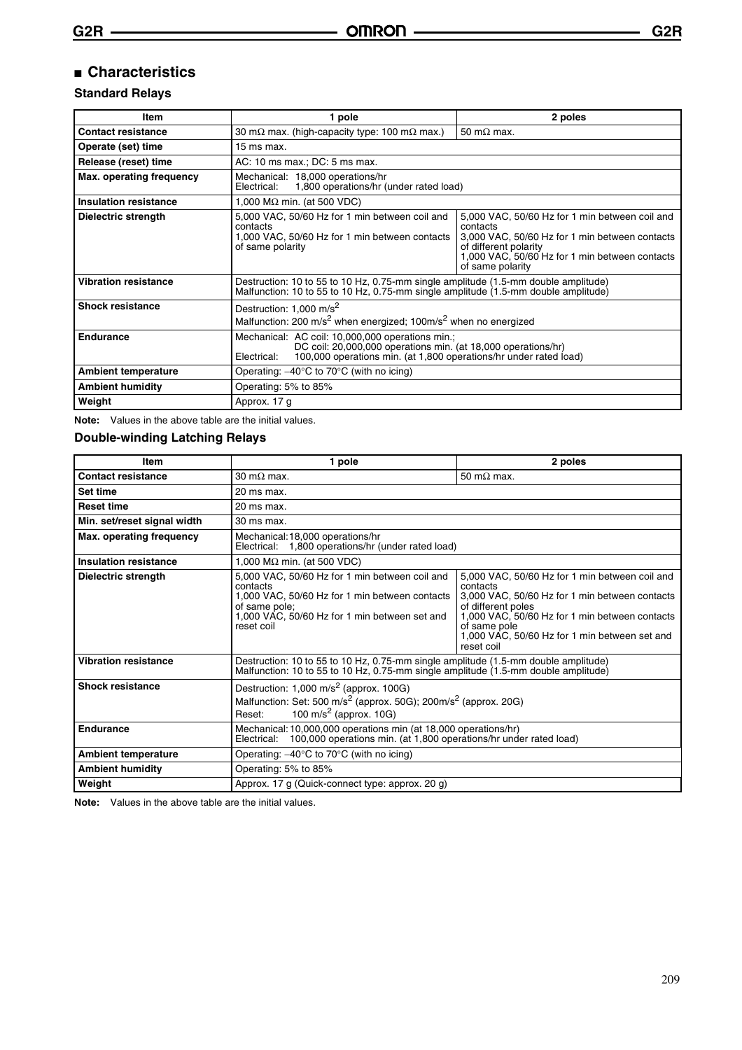#### ■ **Characteristics**

#### **Standard Relays**

| Item                        | 1 pole                                                                                                                                                                                                                                                                                                                                          | 2 poles            |  |  |  |  |
|-----------------------------|-------------------------------------------------------------------------------------------------------------------------------------------------------------------------------------------------------------------------------------------------------------------------------------------------------------------------------------------------|--------------------|--|--|--|--|
| <b>Contact resistance</b>   | 30 m $\Omega$ max. (high-capacity type: 100 m $\Omega$ max.)                                                                                                                                                                                                                                                                                    | 50 m $\Omega$ max. |  |  |  |  |
| Operate (set) time          | $15$ ms max.                                                                                                                                                                                                                                                                                                                                    |                    |  |  |  |  |
| Release (reset) time        | AC: 10 ms max.; DC: 5 ms max.                                                                                                                                                                                                                                                                                                                   |                    |  |  |  |  |
| Max. operating frequency    | Mechanical: 18,000 operations/hr<br>1,800 operations/hr (under rated load)<br>Electrical:                                                                                                                                                                                                                                                       |                    |  |  |  |  |
| Insulation resistance       | 1,000 M $\Omega$ min. (at 500 VDC)                                                                                                                                                                                                                                                                                                              |                    |  |  |  |  |
| Dielectric strength         | 5,000 VAC, 50/60 Hz for 1 min between coil and<br>5,000 VAC, 50/60 Hz for 1 min between coil and<br>contacts<br>contacts<br>1,000 VAC, 50/60 Hz for 1 min between contacts<br>3,000 VAC, 50/60 Hz for 1 min between contacts<br>of different polarity<br>of same polarity<br>1,000 VAC, 50/60 Hz for 1 min between contacts<br>of same polarity |                    |  |  |  |  |
| <b>Vibration resistance</b> | Destruction: 10 to 55 to 10 Hz, 0.75-mm single amplitude (1.5-mm double amplitude)<br>Malfunction: 10 to 55 to 10 Hz, 0.75-mm single amplitude (1.5-mm double amplitude)                                                                                                                                                                        |                    |  |  |  |  |
| <b>Shock resistance</b>     | Destruction: 1,000 m/s <sup>2</sup><br>Malfunction: 200 m/s <sup>2</sup> when energized; 100m/s <sup>2</sup> when no energized                                                                                                                                                                                                                  |                    |  |  |  |  |
| <b>Endurance</b>            | Mechanical: AC coil: 10,000,000 operations min.;<br>DC coil: 20,000,000 operations min. (at 18,000 operations/hr)<br>100,000 operations min. (at 1,800 operations/hr under rated load)<br>Electrical:                                                                                                                                           |                    |  |  |  |  |
| <b>Ambient temperature</b>  | Operating: $-40^{\circ}$ C to 70 $^{\circ}$ C (with no icing)                                                                                                                                                                                                                                                                                   |                    |  |  |  |  |
| <b>Ambient humidity</b>     | Operating: 5% to 85%                                                                                                                                                                                                                                                                                                                            |                    |  |  |  |  |
| Weight                      | Approx. 17 g                                                                                                                                                                                                                                                                                                                                    |                    |  |  |  |  |

**Note:** Values in the above table are the initial values.

#### **Double-winding Latching Relays**

| Item                        | 1 pole                                                                                                                                                                                       | 2 poles                                                                                                                                                                                                                                                             |  |  |  |
|-----------------------------|----------------------------------------------------------------------------------------------------------------------------------------------------------------------------------------------|---------------------------------------------------------------------------------------------------------------------------------------------------------------------------------------------------------------------------------------------------------------------|--|--|--|
| <b>Contact resistance</b>   | 30 m $\Omega$ max.                                                                                                                                                                           | 50 m $\Omega$ max.                                                                                                                                                                                                                                                  |  |  |  |
| Set time                    | 20 ms max.                                                                                                                                                                                   |                                                                                                                                                                                                                                                                     |  |  |  |
| <b>Reset time</b>           | 20 ms max.                                                                                                                                                                                   |                                                                                                                                                                                                                                                                     |  |  |  |
| Min. set/reset signal width | 30 ms max.                                                                                                                                                                                   |                                                                                                                                                                                                                                                                     |  |  |  |
| Max. operating frequency    | Mechanical: 18,000 operations/hr<br>Electrical: 1,800 operations/hr (under rated load)                                                                                                       |                                                                                                                                                                                                                                                                     |  |  |  |
| Insulation resistance       | 1,000 M $\Omega$ min. (at 500 VDC)                                                                                                                                                           |                                                                                                                                                                                                                                                                     |  |  |  |
| Dielectric strength         | 5,000 VAC, 50/60 Hz for 1 min between coil and<br>contacts<br>1,000 VAC, 50/60 Hz for 1 min between contacts<br>of same pole;<br>1,000 VAC, 50/60 Hz for 1 min between set and<br>reset coil | 5,000 VAC, 50/60 Hz for 1 min between coil and<br>contacts<br>3,000 VAC, 50/60 Hz for 1 min between contacts<br>of different poles<br>1,000 VAC, 50/60 Hz for 1 min between contacts<br>of same pole<br>1,000 VAC, 50/60 Hz for 1 min between set and<br>reset coil |  |  |  |
| <b>Vibration resistance</b> | Destruction: 10 to 55 to 10 Hz, 0.75-mm single amplitude (1.5-mm double amplitude)<br>Malfunction: 10 to 55 to 10 Hz, 0.75-mm single amplitude (1.5-mm double amplitude)                     |                                                                                                                                                                                                                                                                     |  |  |  |
| <b>Shock resistance</b>     | Destruction: $1,000 \text{ m/s}^2$ (approx. 100G)<br>Malfunction: Set: 500 m/s <sup>2</sup> (approx. 50G); 200m/s <sup>2</sup> (approx. 20G)<br>100 m/s <sup>2</sup> (approx. 10G)<br>Reset: |                                                                                                                                                                                                                                                                     |  |  |  |
| <b>Endurance</b>            | Mechanical: 10,000,000 operations min (at 18,000 operations/hr)<br>100,000 operations min. (at 1,800 operations/hr under rated load)<br>Electrical:                                          |                                                                                                                                                                                                                                                                     |  |  |  |
| <b>Ambient temperature</b>  | Operating: $-40^{\circ}$ C to 70 $^{\circ}$ C (with no icing)                                                                                                                                |                                                                                                                                                                                                                                                                     |  |  |  |
| <b>Ambient humidity</b>     | Operating: 5% to 85%                                                                                                                                                                         |                                                                                                                                                                                                                                                                     |  |  |  |
| Weight                      | Approx. 17 g (Quick-connect type: approx. 20 g)                                                                                                                                              |                                                                                                                                                                                                                                                                     |  |  |  |

**Note:** Values in the above table are the initial values.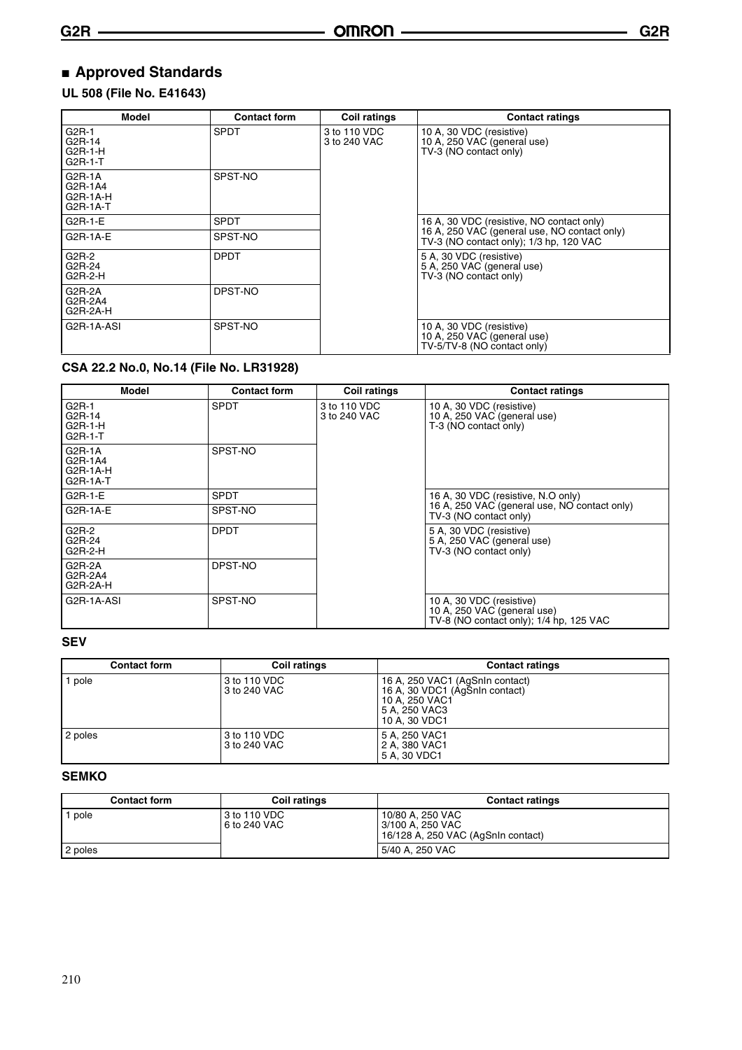### ■ **Approved Standards**

#### **UL 508 (File No. E41643)**

| Model                                           | <b>Contact form</b> | <b>Coil ratings</b>          | <b>Contact ratings</b>                                                                  |
|-------------------------------------------------|---------------------|------------------------------|-----------------------------------------------------------------------------------------|
| $G2R-1$<br>G2R-14<br>$G2R-1-H$<br>G2R-1-T       | <b>SPDT</b>         | 3 to 110 VDC<br>3 to 240 VAC | 10 A, 30 VDC (resistive)<br>10 A, 250 VAC (general use)<br>TV-3 (NO contact only)       |
| $G2R-1A$<br>G2R-1A4<br>$G2R-1A-H$<br>$G2R-1A-T$ | SPST-NO             |                              |                                                                                         |
| G2R-1-E                                         | <b>SPDT</b>         |                              | 16 A, 30 VDC (resistive, NO contact only)                                               |
| $G2R-1A-E$                                      | SPST-NO             |                              | 16 A, 250 VAC (general use, NO contact only)<br>TV-3 (NO contact only); 1/3 hp, 120 VAC |
| $G2R-2$<br>G2R-24<br>$G2R-2-H$                  | <b>DPDT</b>         |                              | 5 A, 30 VDC (resistive)<br>5 A, 250 VAC (general use)<br>TV-3 (NO contact only)         |
| G2R-2A<br>G2R-2A4<br>$G2R-2A-H$                 | DPST-NO             |                              |                                                                                         |
| G <sub>2</sub> R-1A-ASI                         | SPST-NO             |                              | 10 A, 30 VDC (resistive)<br>10 A, 250 VAC (general use)<br>TV-5/TV-8 (NO contact only)  |

#### **CSA 22.2 No.0, No.14 (File No. LR31928)**

| Model                                       | <b>Contact form</b> | <b>Coil ratings</b>          | <b>Contact ratings</b>                                                                             |
|---------------------------------------------|---------------------|------------------------------|----------------------------------------------------------------------------------------------------|
| G2R-1<br>G2R-14<br>$G2R-1-H$<br>$G2R-1-T$   | <b>SPDT</b>         | 3 to 110 VDC<br>3 to 240 VAC | 10 A, 30 VDC (resistive)<br>10 A, 250 VAC (general use)<br>T-3 (NO contact only)                   |
| G2R-1A<br>G2R-1A4<br>$G2R-1A-H$<br>G2R-1A-T | SPST-NO             |                              |                                                                                                    |
| $G2R-1-E$                                   | <b>SPDT</b>         |                              | 16 A, 30 VDC (resistive, N.O only)                                                                 |
| $G2R-1A-E$                                  | SPST-NO             |                              | 16 A, 250 VAC (general use, NO contact only)<br>TV-3 (NO contact only)                             |
| $G2R-2$<br>G2R-24<br>G2R-2-H                | <b>DPDT</b>         |                              | 5 A, 30 VDC (resistive)<br>5 A, 250 VAC (general use)<br>TV-3 (NO contact only)                    |
| G2R-2A<br>G2R-2A4<br>G2R-2A-H               | DPST-NO             |                              |                                                                                                    |
| G2R-1A-ASI                                  | SPST-NO             |                              | 10 A, 30 VDC (resistive)<br>10 A, 250 VAC (general use)<br>TV-8 (NO contact only); 1/4 hp, 125 VAC |

#### **SEV**

| <b>Contact form</b> | <b>Coil ratings</b>          | <b>Contact ratings</b>                                                                                                |
|---------------------|------------------------------|-----------------------------------------------------------------------------------------------------------------------|
| pole                | 3 to 110 VDC<br>3 to 240 VAC | 16 A, 250 VAC1 (AgSnIn contact)<br>16 A, 30 VDC1 (AgSnIn contact)<br>10 A. 250 VAC1<br>5 A. 250 VAC3<br>10 A. 30 VDC1 |
| 2 poles             | 3 to 110 VDC<br>3 to 240 VAC | 5 A. 250 VAC1<br>2 A, 380 VAC1<br>5 A, 30 VDC1                                                                        |

#### **SEMKO**

| <b>Contact form</b> | <b>Coil ratings</b>          | <b>Contact ratings</b>                                                       |
|---------------------|------------------------------|------------------------------------------------------------------------------|
| pole                | 3 to 110 VDC<br>6 to 240 VAC | 10/80 A. 250 VAC<br>l 3/100 A. 250 VAC<br>16/128 A, 250 VAC (AgSnIn contact) |
| 2 poles             |                              | 5/40 A, 250 VAC                                                              |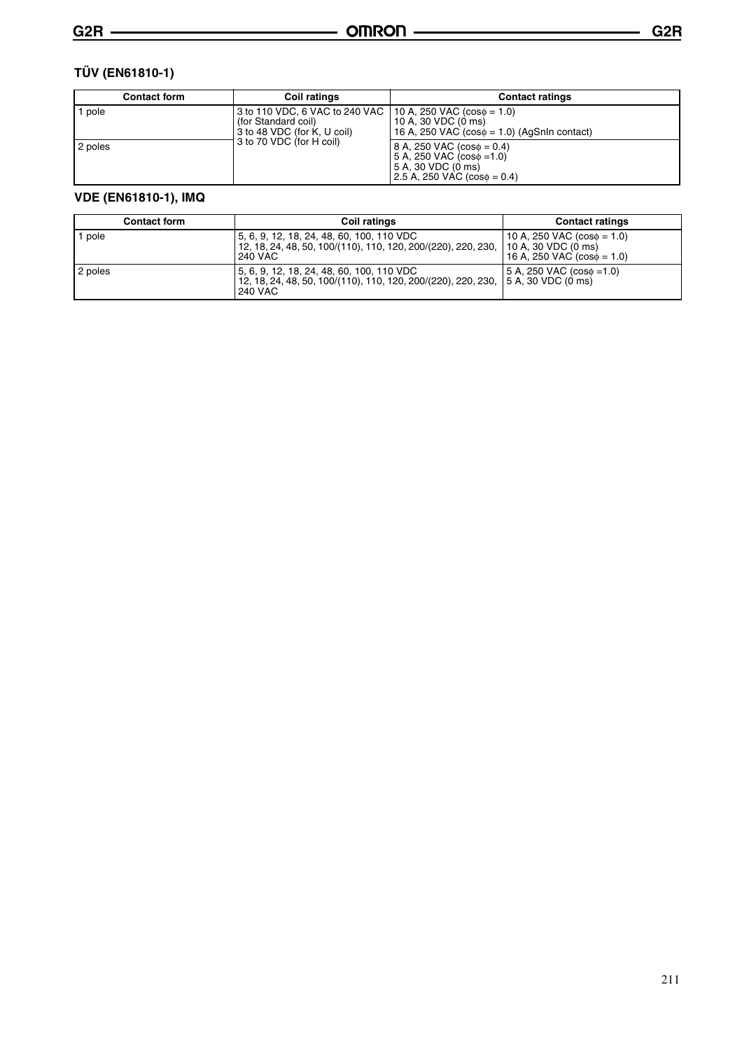| <b>Contact form</b> | Coil ratings                                                                         | <b>Contact ratings</b>                                                                                                          |  |
|---------------------|--------------------------------------------------------------------------------------|---------------------------------------------------------------------------------------------------------------------------------|--|
| pole                | 3 to 110 VDC, 6 VAC to 240 VAC<br>(for Standard coil)<br>3 to 48 VDC (for K, U coil) | $10 A, 250 VAC (cos\phi = 1.0)$<br>10 A, 30 VDC (0 ms)<br>16 A, 250 VAC $(cos\phi = 1.0)$ (AgSnIn contact)                      |  |
| 2 poles             | 3 to 70 VDC (for H coil)                                                             | $8 A$ , 250 VAC (cos $\phi = 0.4$ )<br>$5 A, 250 VAC (cos\phi = 1.0)$<br>5 A, 30 VDC (0 ms)<br>2.5 A, 250 VAC $(cos\phi = 0.4)$ |  |

#### **VDE (EN61810-1), IMQ**

| <b>Contact form</b> | Coil ratings                                                                                                                                       | <b>Contact ratings</b>                                             |
|---------------------|----------------------------------------------------------------------------------------------------------------------------------------------------|--------------------------------------------------------------------|
| pole                | 5, 6, 9, 12, 18, 24, 48, 60, 100, 110 VDC<br>12, 18, 24, 48, 50, 100/(110), 110, 120, 200/(220), 220, 230, 10 A, 30 VDC (0 ms)<br><b>240 VAC</b>   | 10 A, 250 VAC $(cos\phi = 1.0)$<br>16 A, 250 VAC $(cos\phi = 1.0)$ |
| 2 poles             | 5, 6, 9, 12, 18, 24, 48, 60, 100, 110 VDC<br>l 12, 18, 24, 48, 50, 100/(110), 110, 120, 200/(220), 220, 230, 15 A, 30 VDC (0 ms)<br><b>240 VAC</b> | $5 A, 250 VAC (cos\phi = 1.0)$                                     |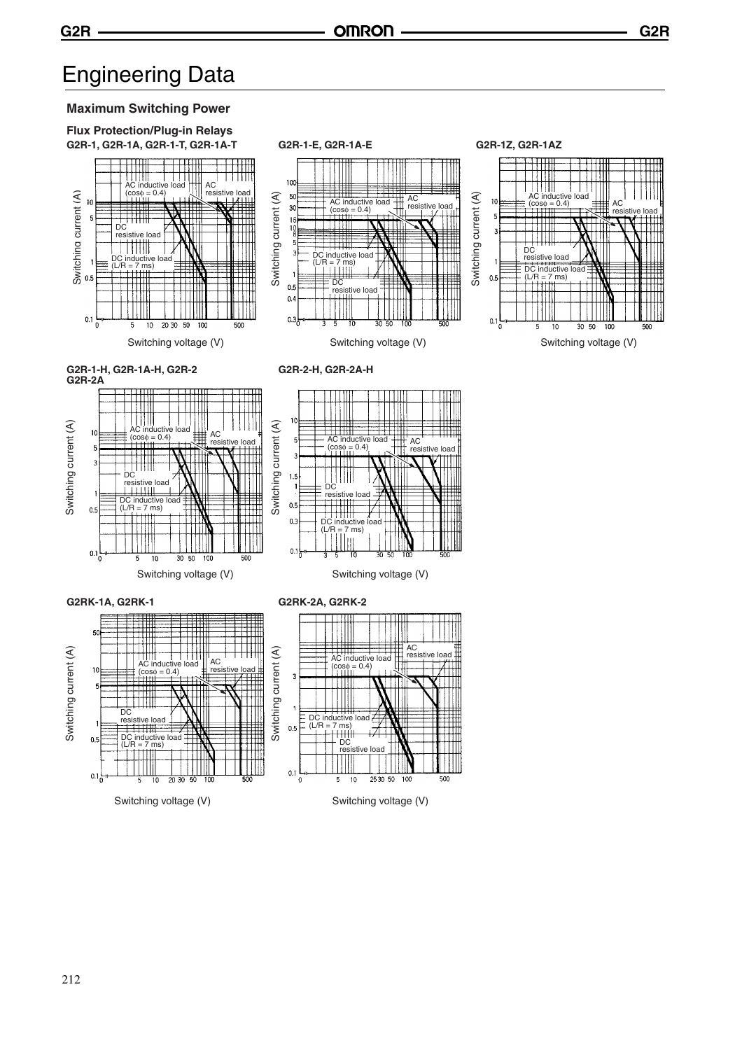## Engineering Data



Switching voltage (V) Switching voltage (V)

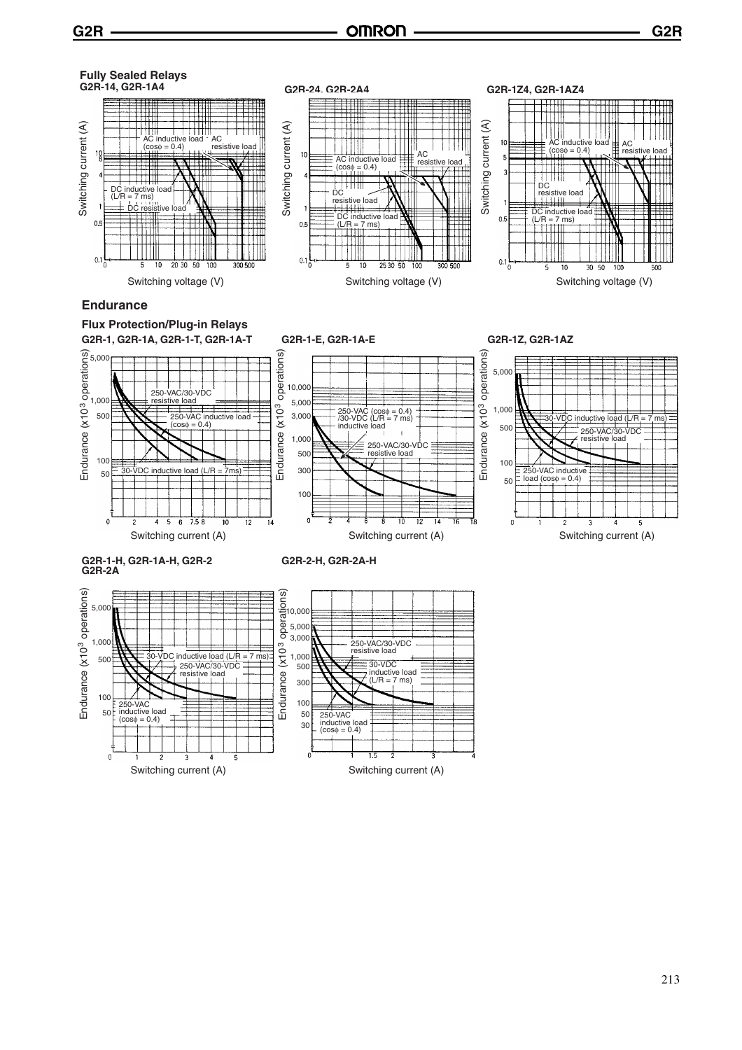

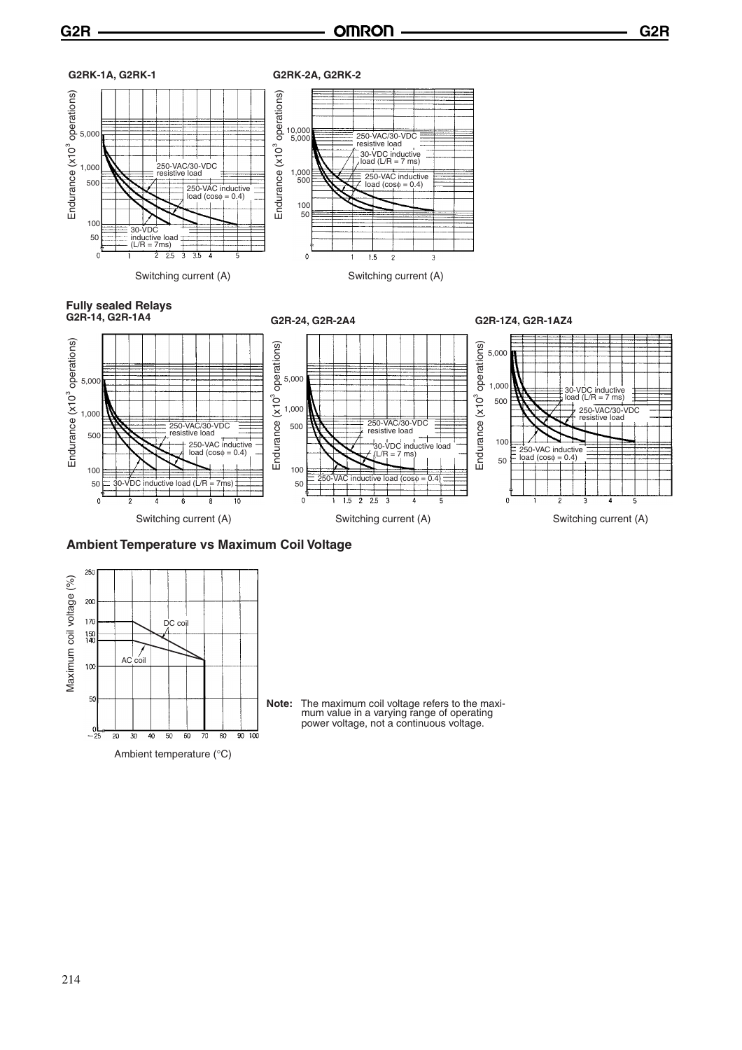**G2R G2R**



**Ambient Temperature vs Maximum Coil Voltage**



**Note:** The maximum coil voltage refers to the maxi-mum value in a varying range of operating power voltage, not a continuous voltage.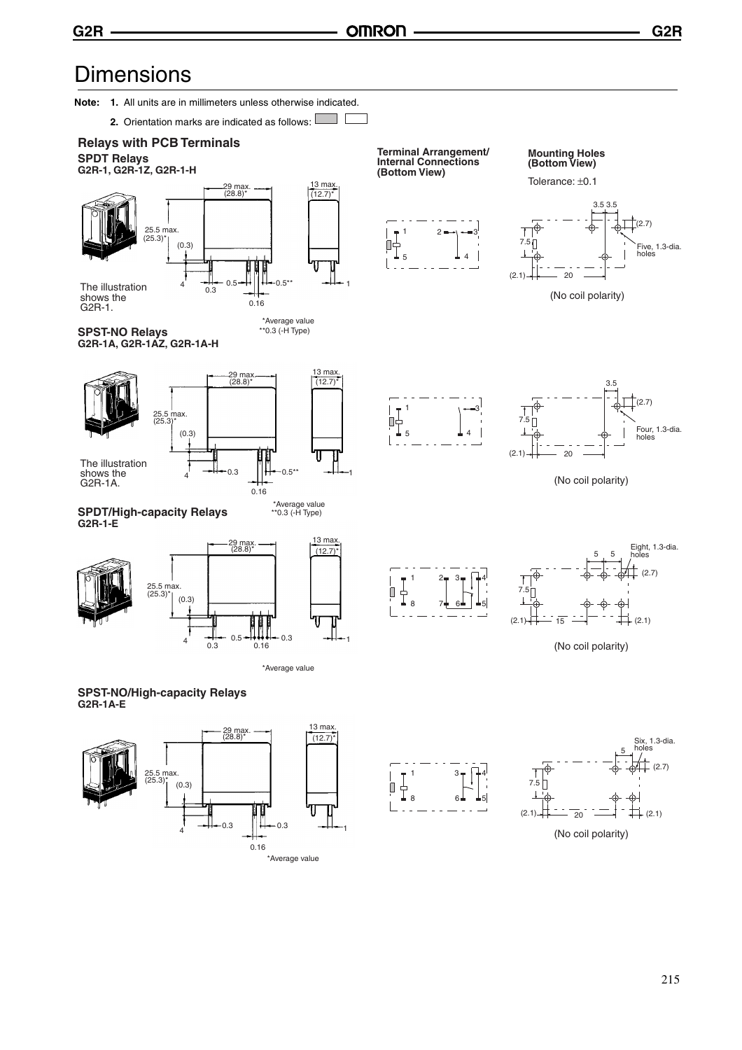**G2R G2R**

Five, 1.3-dia. holes

Four, 1.3-dia. holes

(2.7)

Eight, 1.3-dia. holes

### **Dimensions**

**Note: 1.** All units are in millimeters unless otherwise indicated.

**2.** Orientation marks are indicated as follows:  $\mathcal{L}$ 



(2.7)

Six, 1.3-dia. holes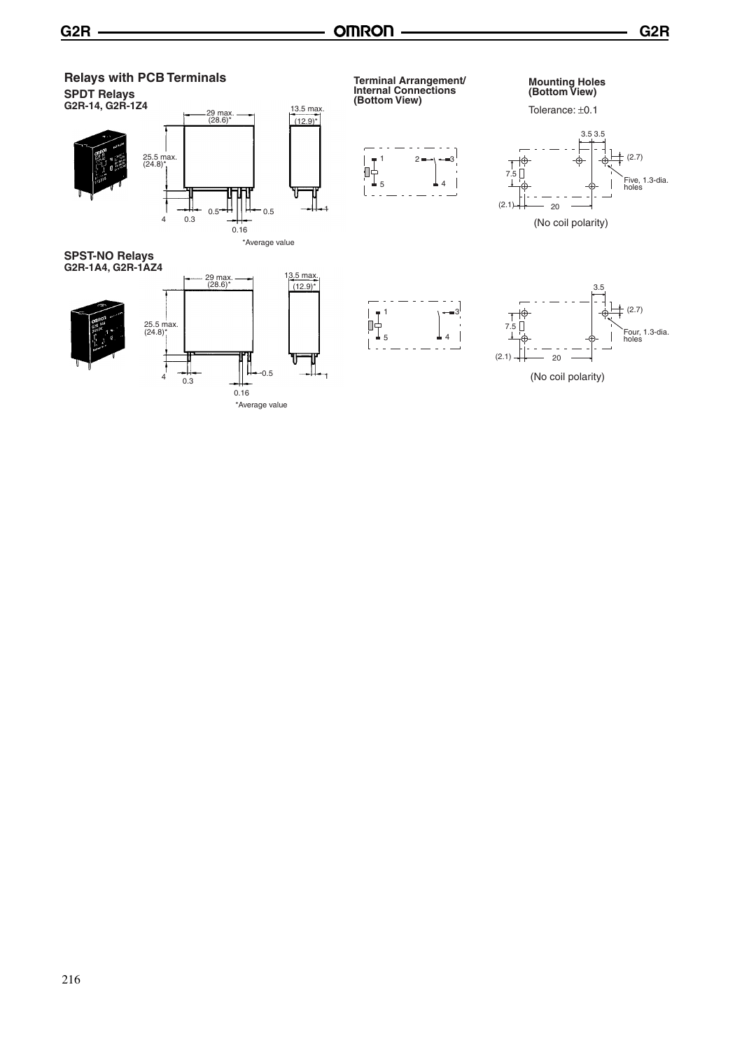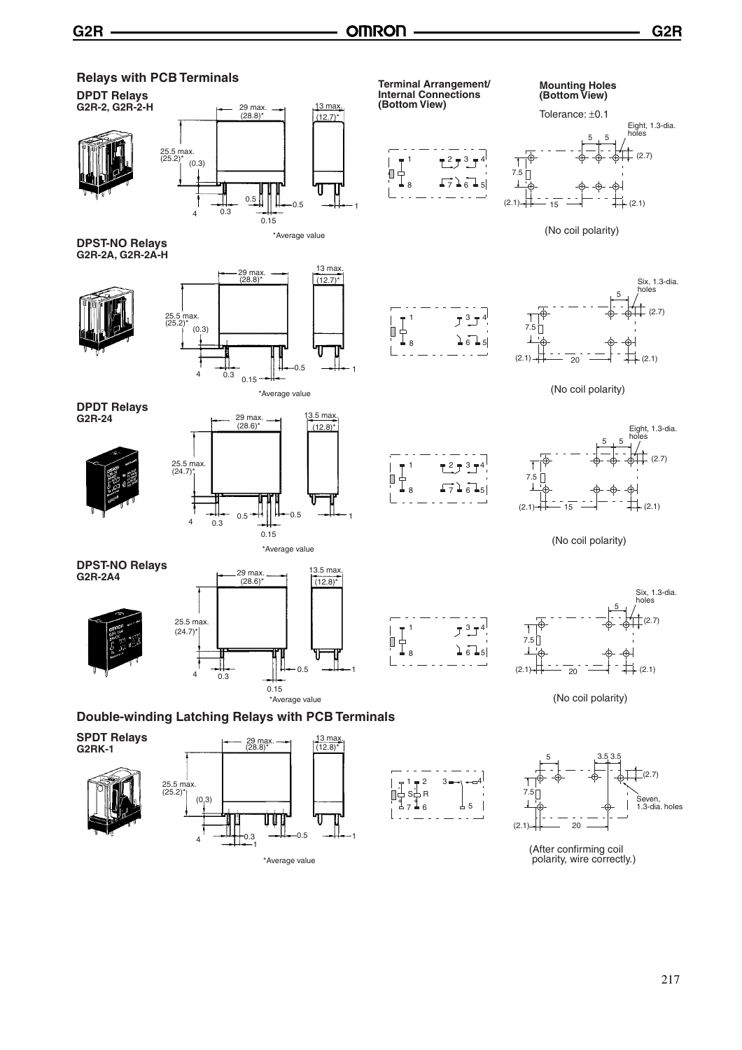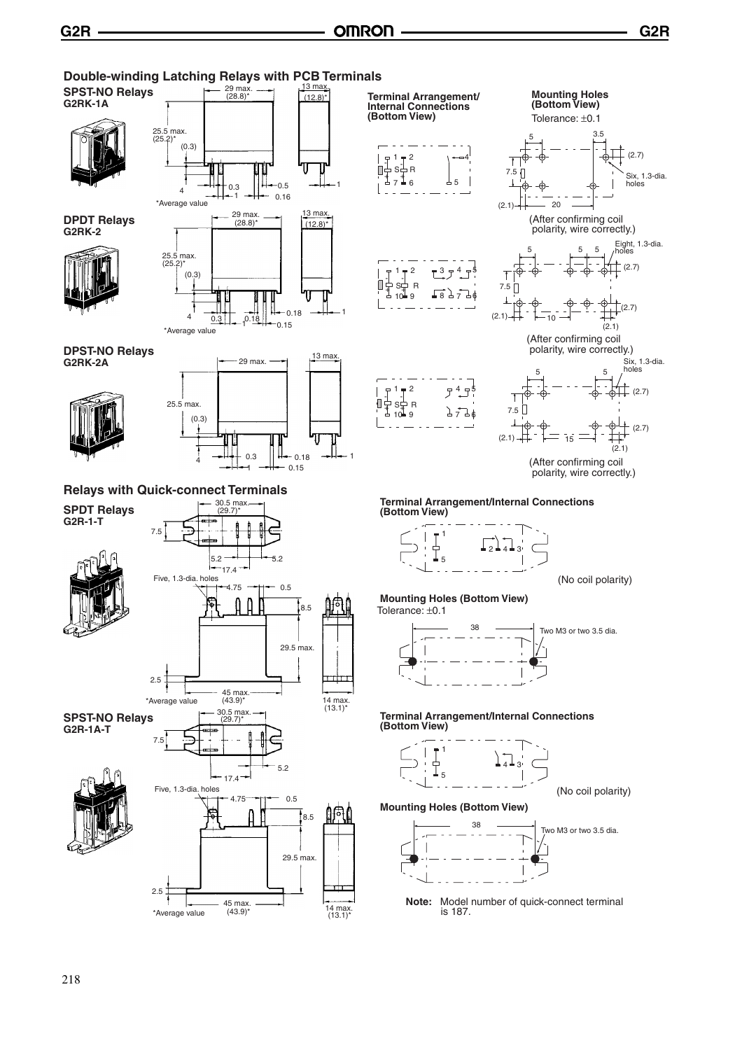